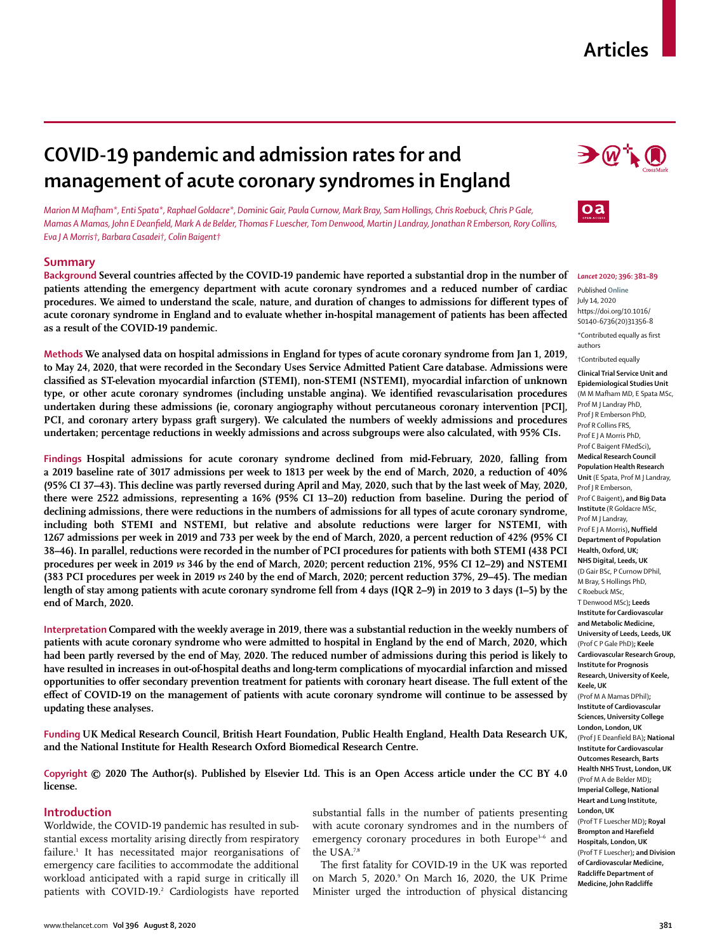# **COVID-19 pandemic and admission rates for and management of acute coronary syndromes in England**

*Marion M Mafham\*, Enti Spata\*, Raphael Goldacre\*, Dominic Gair, Paula Curnow, Mark Bray, Sam Hollings, Chris Roebuck, Chris P Gale, Mamas A Mamas, John E Deanfield, Mark A de Belder, Thomas F Luescher, Tom Denwood, Martin J Landray, Jonathan R Emberson, Rory Collins, Eva J A Morris†, Barbara Casadei†, Colin Baigent†*

## **Summary**

**Background Several countries affected by the COVID-19 pandemic have reported a substantial drop in the number of patients attending the emergency department with acute coronary syndromes and a reduced number of cardiac procedures. We aimed to understand the scale, nature, and duration of changes to admissions for different types of acute coronary syndrome in England and to evaluate whether in-hospital management of patients has been affected as a result of the COVID-19 pandemic.**

**Methods We analysed data on hospital admissions in England for types of acute coronary syndrome from Jan 1, 2019, to May 24, 2020, that were recorded in the Secondary Uses Service Admitted Patient Care database. Admissions were classified as ST-elevation myocardial infarction (STEMI), non-STEMI (NSTEMI), myocardial infarction of unknown type, or other acute coronary syndromes (including unstable angina). We identified revascularisation procedures undertaken during these admissions (ie, coronary angiography without percutaneous coronary intervention [PCI], PCI, and coronary artery bypass graft surgery). We calculated the numbers of weekly admissions and procedures undertaken; percentage reductions in weekly admissions and across subgroups were also calculated, with 95% CIs.**

**Findings Hospital admissions for acute coronary syndrome declined from mid-February, 2020, falling from a 2019 baseline rate of 3017 admissions per week to 1813 per week by the end of March, 2020, a reduction of 40% (95% CI 37–43). This decline was partly reversed during April and May, 2020, such that by the last week of May, 2020, there were 2522 admissions, representing a 16% (95% CI 13–20) reduction from baseline. During the period of declining admissions, there were reductions in the numbers of admissions for all types of acute coronary syndrome, including both STEMI and NSTEMI, but relative and absolute reductions were larger for NSTEMI, with 1267 admissions per week in 2019 and 733 per week by the end of March, 2020, a percent reduction of 42% (95% CI 38–46). In parallel, reductions were recorded in the number of PCI procedures for patients with both STEMI (438 PCI procedures per week in 2019** *vs* **346 by the end of March, 2020; percent reduction 21%, 95% CI 12–29) and NSTEMI (383 PCI procedures per week in 2019** *vs* **240 by the end of March, 2020; percent reduction 37%, 29–45). The median length of stay among patients with acute coronary syndrome fell from 4 days (IQR 2–9) in 2019 to 3 days (1–5) by the end of March, 2020.**

**Interpretation Compared with the weekly average in 2019, there was a substantial reduction in the weekly numbers of patients with acute coronary syndrome who were admitted to hospital in England by the end of March, 2020, which had been partly reversed by the end of May, 2020. The reduced number of admissions during this period is likely to have resulted in increases in out-of-hospital deaths and long-term complications of myocardial infarction and missed opportunities to offer secondary prevention treatment for patients with coronary heart disease. The full extent of the effect of COVID-19 on the management of patients with acute coronary syndrome will continue to be assessed by updating these analyses.**

**Funding UK Medical Research Council, British Heart Foundation, Public Health England, Health Data Research UK, and the National Institute for Health Research Oxford Biomedical Research Centre.**

**Copyright © 2020 The Author(s). Published by Elsevier Ltd. This is an Open Access article under the CC BY 4.0 license.**

## **Introduction**

Worldwide, the COVID-19 pandemic has resulted in substantial excess mortality arising directly from respiratory failure.1 It has necessitated major reorganisations of emergency care facilities to accommodate the additional workload anticipated with a rapid surge in critically ill patients with COVID-19.<sup>2</sup> Cardiologists have reported substantial falls in the number of patients presenting with acute coronary syndromes and in the numbers of emergency coronary procedures in both Europe<sup>3-6</sup> and the USA.7,8

The first fatality for COVID-19 in the UK was reported on March 5, 2020.<sup>9</sup> On March 16, 2020, the UK Prime Minister urged the introduction of physical distancing





#### *Lancet* **2020; 396: 381–89**

Published **Online** July 14, 2020 https://doi.org/10.1016/ S0140-6736(20)31356-8 \*Contributed equally as first authors

†Contributed equally

**Clinical Trial Service Unit and Epidemiological Studies Unit**  (M M Mafham MD, E Spata MSc, Prof M J Landray PhD, Prof J R Emberson PhD, Prof R Collins FRS, Prof E J A Morris PhD, Prof C Baigent FMedSci)**, Medical Research Council Population Health Research Unit** (E Spata, Prof M J Landray, Prof I R Emberson Prof C Baigent)**, and Big Data Institute** (R Goldacre MSc, Prof M J Landray, Prof E J A Morris)**, Nuffield Department of Population Health, Oxford, UK; NHS Digital, Leeds, UK**  (D Gair BSc, P Curnow DPhil, M Bray, S Hollings PhD, C Roebuck MSc, T Denwood MSc)**; Leeds Institute for Cardiovascular and Metabolic Medicine, University of Leeds, Leeds, UK** (Prof C P Gale PhD)**; Keele Cardiovascular Research Group, Institute for Prognosis Research, University of Keele, Keele, UK** (Prof M A Mamas DPhil)**; Institute of Cardiovascular Sciences, University College London, London, UK** (Prof J E Deanfield BA)**; National Institute for Cardiovascula Outcomes Research, Barts Health NHS Trust, London, UK** (Prof M A de Belder MD)**; Imperial College, National Heart and Lung Institute, London, UK** (Prof T F Luescher MD)**; Royal** 

**Brompton and Harefield Hospitals, London, UK**  (Prof T F Luescher)**; and Division of Cardiovascular Medicine, Radcliffe Department of Medicine, John Radcliffe**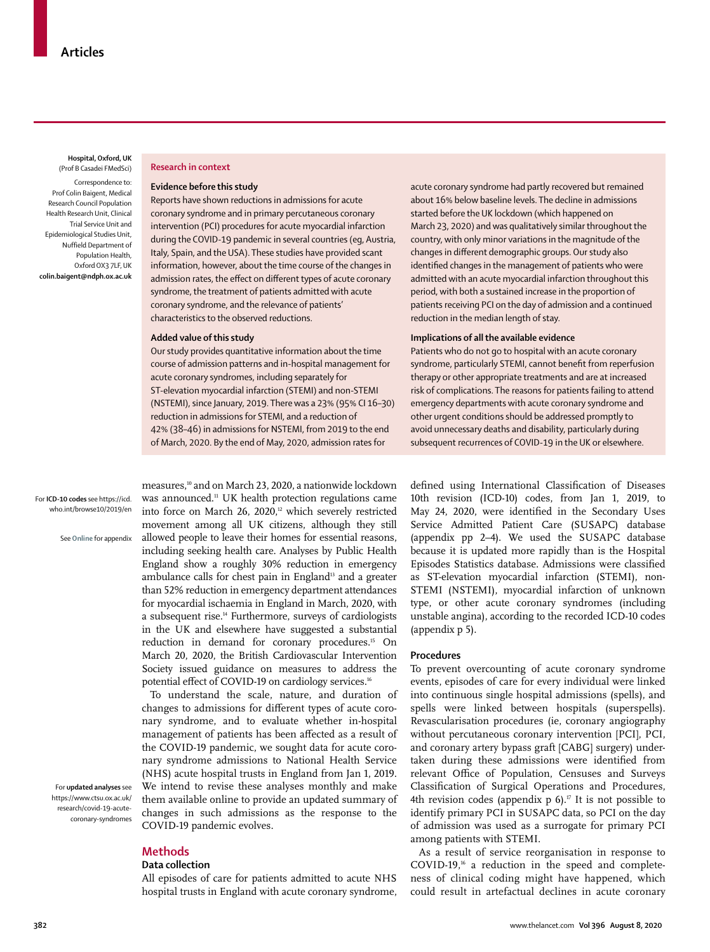**Hospital, Oxford, UK** (Prof B Casadei FMedSci) Correspondence to: Prof Colin Baigent, Medical Research Council Population Health Research Unit, Clinical Trial Service Unit and Epidemiological Studies Unit, Nuffield Department of Population Health, Oxford OX3 7LF, UK **colin.baigent@ndph.ox.ac.uk**

#### **Research in context**

## **Evidence before this study**

Reports have shown reductions in admissions for acute coronary syndrome and in primary percutaneous coronary intervention (PCI) procedures for acute myocardial infarction during the COVID-19 pandemic in several countries (eg, Austria, Italy, Spain, and the USA). These studies have provided scant information, however, about the time course of the changes in admission rates, the effect on different types of acute coronary syndrome, the treatment of patients admitted with acute coronary syndrome, and the relevance of patients' characteristics to the observed reductions.

### **Added value of this study**

Our study provides quantitative information about the time course of admission patterns and in-hospital management for acute coronary syndromes, including separately for ST-elevation myocardial infarction (STEMI) and non-STEMI (NSTEMI), since January, 2019. There was a 23% (95% CI 16–30) reduction in admissions for STEMI, and a reduction of 42% (38–46) in admissions for NSTEMI, from 2019 to the end of March, 2020. By the end of May, 2020, admission rates for

acute coronary syndrome had partly recovered but remained about 16% below baseline levels. The decline in admissions started before the UK lockdown (which happened on March 23, 2020) and was qualitatively similar throughout the country, with only minor variations in the magnitude of the changes in different demographic groups. Our study also identified changes in the management of patients who were admitted with an acute myocardial infarction throughout this period, with both a sustained increase in the proportion of patients receiving PCI on the day of admission and a continued reduction in the median length of stay.

## **Implications of all the available evidence**

Patients who do not go to hospital with an acute coronary syndrome, particularly STEMI, cannot benefit from reperfusion therapy or other appropriate treatments and are at increased risk of complications. The reasons for patients failing to attend emergency departments with acute coronary syndrome and other urgent conditions should be addressed promptly to avoid unnecessary deaths and disability, particularly during subsequent recurrences of COVID-19 in the UK or elsewhere.

For **ICD-10 codes** see [https://icd.](https://icd.who.int/browse10/2019/en) [who.int/browse10/2019/en](https://icd.who.int/browse10/2019/en)

See **Online** for appendix

For **updated analyses** see [https://www.ctsu.ox.ac.uk/](https://www.ctsu.ox.ac.uk/research/covid-19-acute-coronary-syndromes) [research/covid-19-acute](https://www.ctsu.ox.ac.uk/research/covid-19-acute-coronary-syndromes)[coronary-syndromes](https://www.ctsu.ox.ac.uk/research/covid-19-acute-coronary-syndromes)

measures,<sup>10</sup> and on March 23, 2020, a nationwide lockdown was announced.<sup>11</sup> UK health protection regulations came into force on March 26, 2020, $12$  which severely restricted movement among all UK citizens, although they still allowed people to leave their homes for essential reasons, including seeking health care. Analyses by Public Health England show a roughly 30% reduction in emergency ambulance calls for chest pain in England<sup>13</sup> and a greater than 52% reduction in emergency department attendances for myocardial ischaemia in England in March, 2020, with a subsequent rise.<sup>14</sup> Furthermore, surveys of cardiologists in the UK and elsewhere have suggested a substantial reduction in demand for coronary procedures.<sup>15</sup> On March 20, 2020, the British Cardiovascular Intervention Society issued guidance on measures to address the potential effect of COVID-19 on cardiology services.<sup>16</sup>

To understand the scale, nature, and duration of changes to admissions for different types of acute coronary syndrome, and to evaluate whether in-hospital management of patients has been affected as a result of the COVID-19 pandemic, we sought data for acute coronary syndrome admissions to National Health Service (NHS) acute hospital trusts in England from Jan 1, 2019. We intend to revise these [analyses](https://www.ctsu.ox.ac.uk/research/covid-19-acute-coronary-syndromes) monthly and make them available online to provide an updated summary of changes in such admissions as the response to the COVID-19 pandemic evolves.

# **Methods**

## **Data collection**

All episodes of care for patients admitted to acute NHS hospital trusts in England with acute coronary syndrome, defined using International Classification of Diseases 10th revision [\(ICD-10\)](https://icd.who.int/browse10/2019/en) codes, from Jan 1, 2019, to May 24, 2020, were identified in the Secondary Uses Service Admitted Patient Care (SUSAPC) database (appendix pp 2–4). We used the SUSAPC database because it is updated more rapidly than is the Hospital Episodes Statistics database. Admissions were classified as ST-elevation myocardial infarction (STEMI), non-STEMI (NSTEMI), myocardial infarction of unknown type, or other acute coronary syndromes (including unstable angina), according to the recorded ICD-10 codes (appendix p 5).

#### **Procedures**

To prevent overcounting of acute coronary syndrome events, episodes of care for every individual were linked into continuous single hospital admissions (spells), and spells were linked between hospitals (superspells). Revascularisation procedures (ie, coronary angiography without percutaneous coronary intervention [PCI], PCI, and coronary artery bypass graft [CABG] surgery) undertaken during these admissions were identified from relevant Office of Population, Censuses and Surveys Classification of Surgical Operations and Procedures, 4th revision codes (appendix  $p 6$ ).<sup> $\sigma$ </sup> It is not possible to identify primary PCI in SUSAPC data, so PCI on the day of admission was used as a surrogate for primary PCI among patients with STEMI.

As a result of service reorganisation in response to COVID-19,16 a reduction in the speed and completeness of clinical coding might have happened, which could result in artefactual declines in acute coronary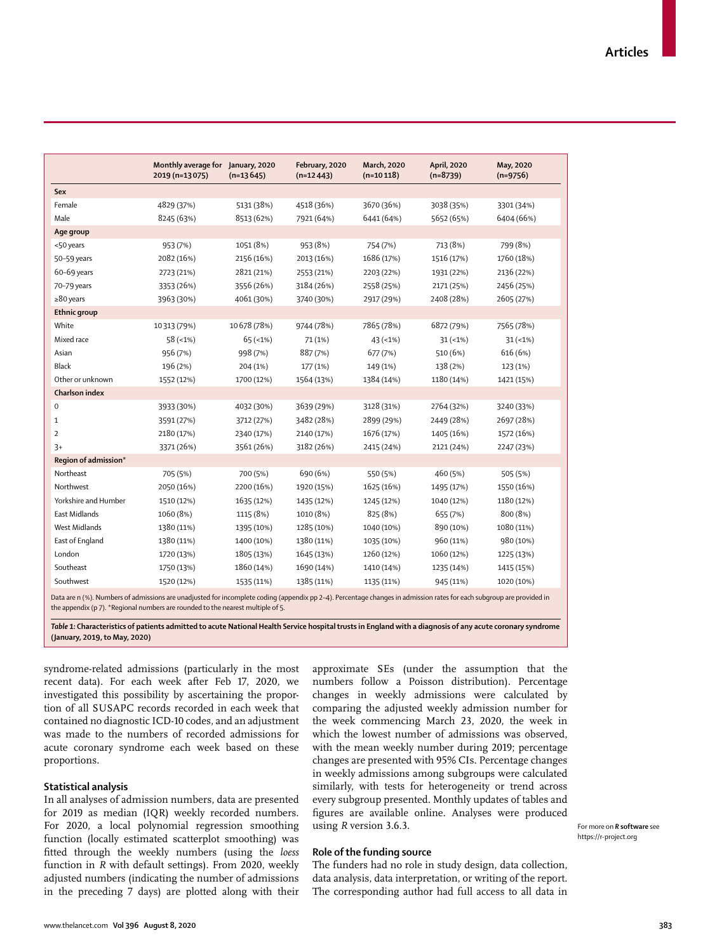|                       | Monthly average for January, 2020 |             | February, 2020 | March, 2020 | April, 2020 | May, 2020  |
|-----------------------|-----------------------------------|-------------|----------------|-------------|-------------|------------|
|                       | 2019 (n=13075)                    | $(n=13645)$ | $(n=12443)$    | $(n=10118)$ | $(n=8739)$  | $(n=9756)$ |
| Sex                   |                                   |             |                |             |             |            |
| Female                | 4829 (37%)                        | 5131 (38%)  | 4518 (36%)     | 3670 (36%)  | 3038 (35%)  | 3301 (34%) |
| Male                  | 8245 (63%)                        | 8513 (62%)  | 7921 (64%)     | 6441 (64%)  | 5652 (65%)  | 6404 (66%) |
| Age group             |                                   |             |                |             |             |            |
| <50 years             | 953 (7%)                          | 1051 (8%)   | 953 (8%)       | 754 (7%)    | 713 (8%)    | 799 (8%)   |
| 50-59 years           | 2082 (16%)                        | 2156 (16%)  | 2013 (16%)     | 1686 (17%)  | 1516 (17%)  | 1760 (18%) |
| 60-69 years           | 2723 (21%)                        | 2821 (21%)  | 2553 (21%)     | 2203 (22%)  | 1931 (22%)  | 2136 (22%) |
| 70-79 years           | 3353 (26%)                        | 3556 (26%)  | 3184 (26%)     | 2558 (25%)  | 2171 (25%)  | 2456 (25%) |
| $\geq 80$ years       | 3963 (30%)                        | 4061 (30%)  | 3740 (30%)     | 2917 (29%)  | 2408 (28%)  | 2605 (27%) |
| <b>Ethnic group</b>   |                                   |             |                |             |             |            |
| White                 | 10313 (79%)                       | 10678 (78%) | 9744 (78%)     | 7865 (78%)  | 6872 (79%)  | 7565 (78%) |
| Mixed race            | $58 (-1%)$                        | $65 (-1%)$  | 71 (1%)        | $43 (-1%)$  | $31 (-1%)$  | $31 (-1%)$ |
| Asian                 | 956 (7%)                          | 998 (7%)    | 887 (7%)       | 677 (7%)    | 510 (6%)    | 616 (6%)   |
| Black                 | 196 (2%)                          | 204 (1%)    | 177 (1%)       | 149 (1%)    | 138 (2%)    | 123 (1%)   |
| Other or unknown      | 1552 (12%)                        | 1700 (12%)  | 1564 (13%)     | 1384 (14%)  | 1180 (14%)  | 1421 (15%) |
| <b>Charlson index</b> |                                   |             |                |             |             |            |
| $\mathsf 0$           | 3933 (30%)                        | 4032 (30%)  | 3639 (29%)     | 3128 (31%)  | 2764 (32%)  | 3240 (33%) |
| 1                     | 3591 (27%)                        | 3712 (27%)  | 3482 (28%)     | 2899 (29%)  | 2449 (28%)  | 2697 (28%) |
| $\overline{2}$        | 2180 (17%)                        | 2340 (17%)  | 2140 (17%)     | 1676 (17%)  | 1405 (16%)  | 1572 (16%) |
| $3+$                  | 3371 (26%)                        | 3561 (26%)  | 3182 (26%)     | 2415 (24%)  | 2121 (24%)  | 2247 (23%) |
| Region of admission*  |                                   |             |                |             |             |            |
| Northeast             | 705 (5%)                          | 700 (5%)    | 690 (6%)       | 550 (5%)    | 460 (5%)    | 505 (5%)   |
| Northwest             | 2050 (16%)                        | 2200 (16%)  | 1920 (15%)     | 1625 (16%)  | 1495 (17%)  | 1550 (16%) |
| Yorkshire and Humber  | 1510 (12%)                        | 1635 (12%)  | 1435 (12%)     | 1245 (12%)  | 1040 (12%)  | 1180 (12%) |
| <b>East Midlands</b>  | 1060 (8%)                         | 1115 (8%)   | 1010 (8%)      | 825 (8%)    | 655 (7%)    | 800 (8%)   |
| West Midlands         | 1380 (11%)                        | 1395 (10%)  | 1285 (10%)     | 1040 (10%)  | 890 (10%)   | 1080 (11%) |
| East of England       | 1380 (11%)                        | 1400 (10%)  | 1380 (11%)     | 1035 (10%)  | 960 (11%)   | 980 (10%)  |
| London                | 1720 (13%)                        | 1805 (13%)  | 1645 (13%)     | 1260 (12%)  | 1060 (12%)  | 1225 (13%) |
| Southeast             | 1750 (13%)                        | 1860 (14%)  | 1690 (14%)     | 1410 (14%)  | 1235 (14%)  | 1415 (15%) |
|                       |                                   | 1535 (11%)  | 1385 (11%)     | 1135 (11%)  | 945 (11%)   | 1020 (10%) |

*Table 1:* **Characteristics of patients admitted to acute National Health Service hospital trusts in England with a diagnosis of any acute coronary syndrome (January, 2019, to May, 2020)**

syndrome-related admissions (particularly in the most recent data). For each week after Feb 17, 2020, we investigated this possibility by ascertaining the proportion of all SUSAPC records recorded in each week that contained no diagnostic ICD-10 codes, and an adjustment was made to the numbers of recorded admissions for acute coronary syndrome each week based on these proportions.

## **Statistical analysis**

In all analyses of admission numbers, data are presented for 2019 as median (IQR) weekly recorded numbers. For 2020, a local polynomial regression smoothing function (locally estimated scatterplot smoothing) was fitted through the weekly numbers (using the *loess* function in *R* with default settings). From 2020, weekly adjusted numbers (indicating the number of admissions in the preceding 7 days) are plotted along with their approximate SEs (under the assumption that the numbers follow a Poisson distribution). Percentage changes in weekly admissions were calculated by comparing the adjusted weekly admission number for the week commencing March 23, 2020, the week in which the lowest number of admissions was observed, with the mean weekly number during 2019; percentage changes are presented with 95% CIs. Percentage changes in weekly admissions among subgroups were calculated similarly, with tests for heterogeneity or trend across every subgroup presented. Monthly updates of tables and figures are available online. Analyses were produced using *R* [version 3.6.3.](https://r-project.org)

For more on *R* **software** see <https://r-project.org>

# **Role of the funding source**

The funders had no role in study design, data collection, data analysis, data interpretation, or writing of the report. The corresponding author had full access to all data in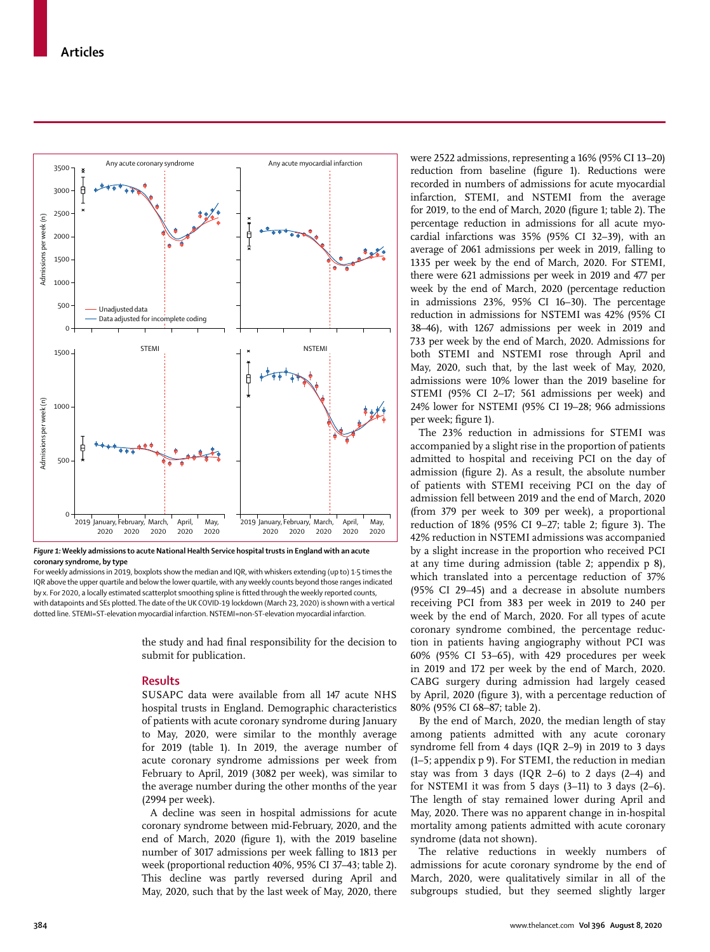

*Figure 1:* **Weekly admissions to acute National Health Service hospital trusts in England with an acute coronary syndrome, by type**

For weekly admissions in 2019, boxplots show the median and IQR, with whiskers extending (up to) 1·5 times the IQR above the upper quartile and below the lower quartile, with any weekly counts beyond those ranges indicated by x. For 2020, a locally estimated scatterplot smoothing spline is fitted through the weekly reported counts, with datapoints and SEs plotted. The date of the UK COVID-19 lockdown (March 23, 2020) is shown with a vertical dotted line. STEMI=ST-elevation myocardial infarction. NSTEMI=non-ST-elevation myocardial infarction.

> the study and had final responsibility for the decision to submit for publication.

# **Results**

SUSAPC data were available from all 147 acute NHS hospital trusts in England. Demographic characteristics of patients with acute coronary syndrome during January to May, 2020, were similar to the monthly average for 2019 (table 1). In 2019, the average number of acute coronary syndrome admissions per week from February to April, 2019 (3082 per week), was similar to the average number during the other months of the year (2994 per week).

A decline was seen in hospital admissions for acute coronary syndrome between mid-February, 2020, and the end of March, 2020 (figure 1), with the 2019 baseline number of 3017 admissions per week falling to 1813 per week (proportional reduction 40%, 95% CI 37–43; table 2). This decline was partly reversed during April and May, 2020, such that by the last week of May, 2020, there were 2522 admissions, representing a 16% (95% CI 13–20) reduction from baseline (figure 1). Reductions were recorded in numbers of admissions for acute myocardial infarction, STEMI, and NSTEMI from the average for 2019, to the end of March, 2020 (figure 1; table 2). The percentage reduction in admissions for all acute myocardial infarctions was 35% (95% CI 32–39), with an average of 2061 admissions per week in 2019, falling to 1335 per week by the end of March, 2020. For STEMI, there were 621 admissions per week in 2019 and 477 per week by the end of March, 2020 (percentage reduction in admissions 23%, 95% CI 16–30). The percentage reduction in admissions for NSTEMI was 42% (95% CI 38–46), with 1267 admissions per week in 2019 and 733 per week by the end of March, 2020. Admissions for both STEMI and NSTEMI rose through April and May, 2020, such that, by the last week of May, 2020, admissions were 10% lower than the 2019 baseline for STEMI (95% CI 2–17; 561 admissions per week) and 24% lower for NSTEMI (95% CI 19–28; 966 admissions per week; figure 1).

The 23% reduction in admissions for STEMI was accompanied by a slight rise in the proportion of patients admitted to hospital and receiving PCI on the day of admission (figure 2). As a result, the absolute number of patients with STEMI receiving PCI on the day of admission fell between 2019 and the end of March, 2020 (from 379 per week to 309 per week), a proportional reduction of 18% (95% CI 9–27; table 2; figure 3). The 42% reduction in NSTEMI admissions was accompanied by a slight increase in the proportion who received PCI at any time during admission (table 2; appendix p 8), which translated into a percentage reduction of 37% (95% CI 29–45) and a decrease in absolute numbers receiving PCI from 383 per week in 2019 to 240 per week by the end of March, 2020. For all types of acute coronary syndrome combined, the percentage reduction in patients having angiography without PCI was 60% (95% CI 53–65), with 429 procedures per week in 2019 and 172 per week by the end of March, 2020. CABG surgery during admission had largely ceased by April, 2020 (figure 3), with a percentage reduction of 80% (95% CI 68–87; table 2).

By the end of March, 2020, the median length of stay among patients admitted with any acute coronary syndrome fell from 4 days (IQR 2–9) in 2019 to 3 days (1–5; appendix p 9). For STEMI, the reduction in median stay was from 3 days (IQR 2–6) to 2 days (2–4) and for NSTEMI it was from 5 days (3–11) to 3 days (2–6). The length of stay remained lower during April and May, 2020. There was no apparent change in in-hospital mortality among patients admitted with acute coronary syndrome (data not shown).

The relative reductions in weekly numbers of admissions for acute coronary syndrome by the end of March, 2020, were qualitatively similar in all of the subgroups studied, but they seemed slightly larger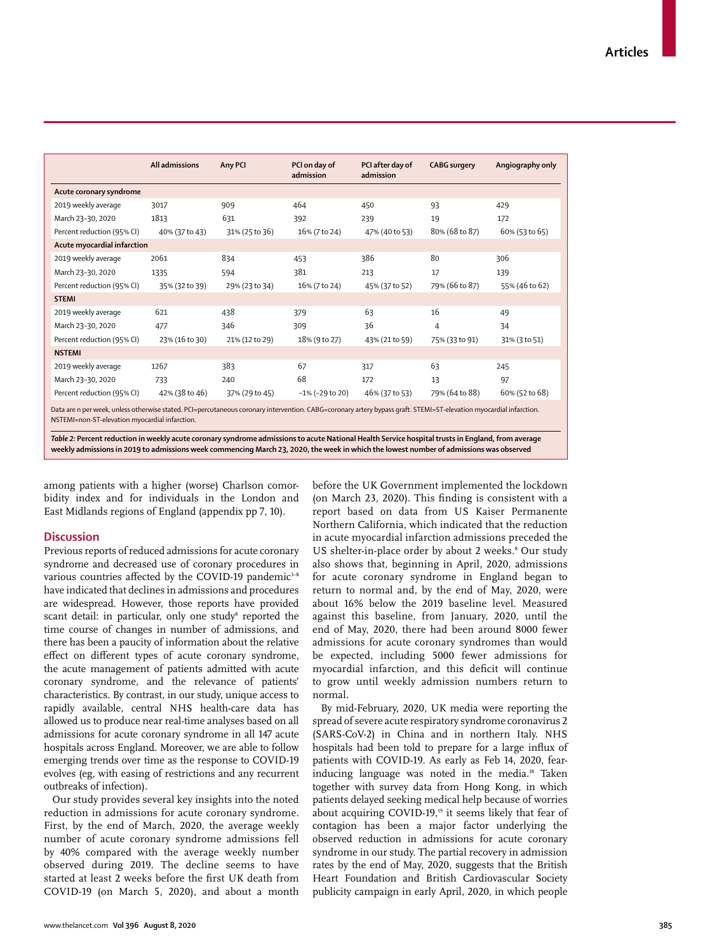|                                                                                                                                                                                                                      | All admissions | Any PCI        | PCI on day of<br>admission | PCI after day of<br>admission | <b>CABG</b> surgery | Angiography only |  |  |  |
|----------------------------------------------------------------------------------------------------------------------------------------------------------------------------------------------------------------------|----------------|----------------|----------------------------|-------------------------------|---------------------|------------------|--|--|--|
| Acute coronary syndrome                                                                                                                                                                                              |                |                |                            |                               |                     |                  |  |  |  |
| 2019 weekly average                                                                                                                                                                                                  | 3017           | 909            | 464                        | 450                           | 93                  | 429              |  |  |  |
| March 23-30, 2020                                                                                                                                                                                                    | 1813           | 631            | 392                        | 239                           | 19                  | 172              |  |  |  |
| Percent reduction (95% CI)                                                                                                                                                                                           | 40% (37 to 43) | 31% (25 to 36) | 16% (7 to 24)              | 47% (40 to 53)                | 80% (68 to 87)      | 60% (53 to 65)   |  |  |  |
| Acute myocardial infarction                                                                                                                                                                                          |                |                |                            |                               |                     |                  |  |  |  |
| 2019 weekly average                                                                                                                                                                                                  | 2061           | 834            | 453                        | 386                           | 80                  | 306              |  |  |  |
| March 23-30, 2020                                                                                                                                                                                                    | 1335           | 594            | 381                        | 213                           | 17                  | 139              |  |  |  |
| Percent reduction (95% CI)                                                                                                                                                                                           | 35% (32 to 39) | 29% (23 to 34) | 16% (7 to 24)              | 45% (37 to 52)                | 79% (66 to 87)      | 55% (46 to 62)   |  |  |  |
| <b>STEMI</b>                                                                                                                                                                                                         |                |                |                            |                               |                     |                  |  |  |  |
| 2019 weekly average                                                                                                                                                                                                  | 621            | 438            | 379                        | 63                            | 16                  | 49               |  |  |  |
| March 23-30, 2020                                                                                                                                                                                                    | 477            | 346            | 309                        | 36                            | 4                   | 34               |  |  |  |
| Percent reduction (95% CI)                                                                                                                                                                                           | 23% (16 to 30) | 21% (12 to 29) | 18% (9 to 27)              | 43% (21 to 59)                | 75% (33 to 91)      | 31% (3 to 51)    |  |  |  |
| <b>NSTEMI</b>                                                                                                                                                                                                        |                |                |                            |                               |                     |                  |  |  |  |
| 2019 weekly average                                                                                                                                                                                                  | 1267           | 383            | 67                         | 317                           | 63                  | 245              |  |  |  |
| March 23-30, 2020                                                                                                                                                                                                    | 733            | 240            | 68                         | 172                           | 13                  | 97               |  |  |  |
| Percent reduction (95% CI)                                                                                                                                                                                           | 42% (38 to 46) | 37% (29 to 45) | $-1\%$ ( $-29$ to 20)      | 46% (37 to 53)                | 79% (64 to 88)      | 60% (52 to 68)   |  |  |  |
| Data are n per week, unless otherwise stated. PCI=percutaneous coronary intervention. CABG=coronary artery bypass graft. STEMI=ST-elevation myocardial infarction.<br>NSTEMI=non-ST-elevation myocardial infarction. |                |                |                            |                               |                     |                  |  |  |  |

*Table 2:* **Percent reduction in weekly acute coronary syndrome admissions to acute National Health Service hospital trusts in England, from average weekly admissions in 2019 to admissions week commencing March 23, 2020, the week in which the lowest number of admissions was observed**

among patients with a higher (worse) Charlson comorbidity index and for individuals in the London and East Midlands regions of England (appendix pp 7, 10).

# **Discussion**

Previous reports of reduced admissions for acute coronary syndrome and decreased use of coronary procedures in various countries affected by the COVID-19 pandemic<sup>3-8</sup> have indicated that declines in admissions and procedures are widespread. However, those reports have provided scant detail: in particular, only one study<sup>s</sup> reported the time course of changes in number of admissions, and there has been a paucity of information about the relative effect on different types of acute coronary syndrome, the acute management of patients admitted with acute coronary syndrome, and the relevance of patients' characteristics. By contrast, in our study, unique access to rapidly available, central NHS health-care data has allowed us to produce near real-time analyses based on all admissions for acute coronary syndrome in all 147 acute hospitals across England. Moreover, we are able to follow emerging trends over time as the response to COVID-19 evolves (eg, with easing of restrictions and any recurrent outbreaks of infection).

Our study provides several key insights into the noted reduction in admissions for acute coronary syndrome. First, by the end of March, 2020, the average weekly number of acute coronary syndrome admissions fell by 40% compared with the average weekly number observed during 2019. The decline seems to have started at least 2 weeks before the first UK death from COVID-19 (on March 5, 2020), and about a month before the UK Government implemented the lockdown (on March 23, 2020). This finding is consistent with a report based on data from US Kaiser Permanente Northern California, which indicated that the reduction in acute myocardial infarction admissions preceded the US shelter-in-place order by about 2 weeks.<sup>8</sup> Our study also shows that, beginning in April, 2020, admissions for acute coronary syndrome in England began to return to normal and, by the end of May, 2020, were about 16% below the 2019 baseline level. Measured against this baseline, from January, 2020, until the end of May, 2020, there had been around 8000 fewer admissions for acute coronary syndromes than would be expected, including 5000 fewer admissions for myocardial infarction, and this deficit will continue to grow until weekly admission numbers return to normal.

By mid-February, 2020, UK media were reporting the spread of severe acute respiratory syndrome coronavirus 2 (SARS-CoV-2) in China and in northern Italy. NHS hospitals had been told to prepare for a large influx of patients with COVID-19. As early as Feb 14, 2020, fearinducing language was noted in the media.<sup>18</sup> Taken together with survey data from Hong Kong, in which patients delayed seeking medical help because of worries about acquiring COVID-19,<sup>19</sup> it seems likely that fear of contagion has been a major factor underlying the observed reduction in admissions for acute coronary syndrome in our study. The partial recovery in admission rates by the end of May, 2020, suggests that the British Heart Foundation and British Cardiovascular Society publicity campaign in early April, 2020, in which people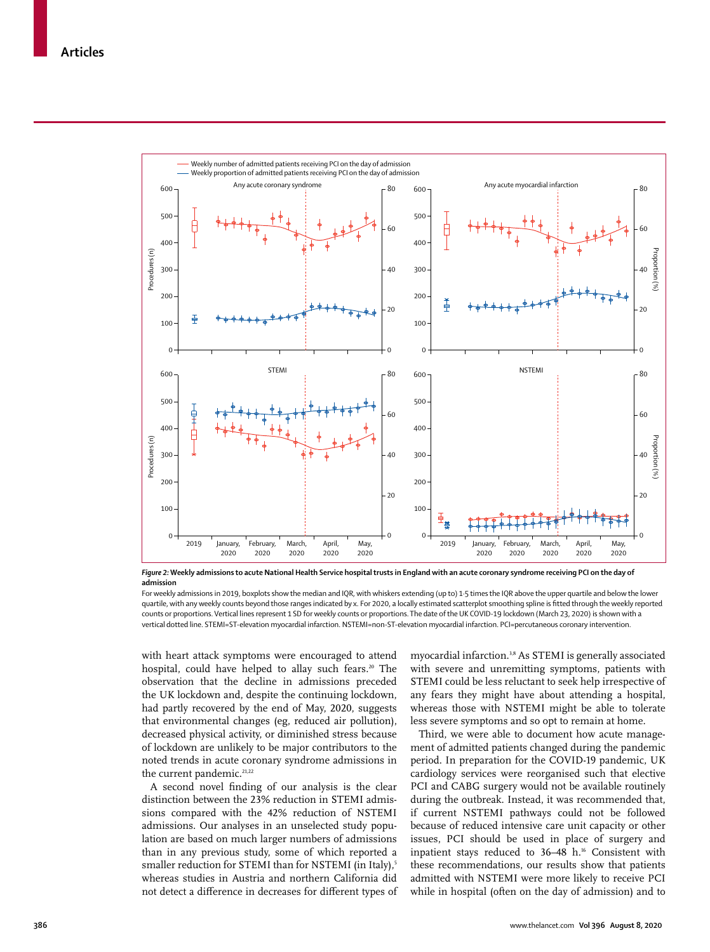

*Figure 2:* **Weekly admissions to acute National Health Service hospital trusts in England with an acute coronary syndrome receiving PCI on the day of admission**

For weekly admissions in 2019, boxplots show the median and IQR, with whiskers extending (up to) 1-5 times the IQR above the upper quartile and below the lower quartile, with any weekly counts beyond those ranges indicated by x. For 2020, a locally estimated scatterplot smoothing spline is fitted through the weekly reported counts or proportions. Vertical lines represent 1 SD for weekly counts or proportions. The date of the UK COVID-19 lockdown (March 23, 2020) is shown with a vertical dotted line. STEMI=ST-elevation myocardial infarction. NSTEMI=non-ST-elevation myocardial infarction. PCI=percutaneous coronary intervention.

with heart attack symptoms were encouraged to attend hospital, could have helped to allay such fears.<sup>20</sup> The observation that the decline in admissions preceded the UK lockdown and, despite the continuing lockdown, had partly recovered by the end of May, 2020, suggests that environmental changes (eg, reduced air pollution), decreased physical activity, or diminished stress because of lockdown are unlikely to be major contributors to the noted trends in acute coronary syndrome admissions in the current pandemic.<sup>21,22</sup>

A second novel finding of our analysis is the clear distinction between the 23% reduction in STEMI admissions compared with the 42% reduction of NSTEMI admissions. Our analyses in an unselected study population are based on much larger numbers of admissions than in any previous study, some of which reported a smaller reduction for STEMI than for NSTEMI (in Italy),<sup>5</sup> whereas studies in Austria and northern California did not detect a difference in decreases for different types of myocardial infarction.3,8 As STEMI is generally associated with severe and unremitting symptoms, patients with STEMI could be less reluctant to seek help irrespective of any fears they might have about attending a hospital, whereas those with NSTEMI might be able to tolerate less severe symptoms and so opt to remain at home.

Third, we were able to document how acute management of admitted patients changed during the pandemic period. In preparation for the COVID-19 pandemic, UK cardiology services were reorganised such that elective PCI and CABG surgery would not be available routinely during the outbreak. Instead, it was recommended that, if current NSTEMI pathways could not be followed because of reduced intensive care unit capacity or other issues, PCI should be used in place of surgery and inpatient stays reduced to 36-48 h.<sup>16</sup> Consistent with these recommendations, our results show that patients admitted with NSTEMI were more likely to receive PCI while in hospital (often on the day of admission) and to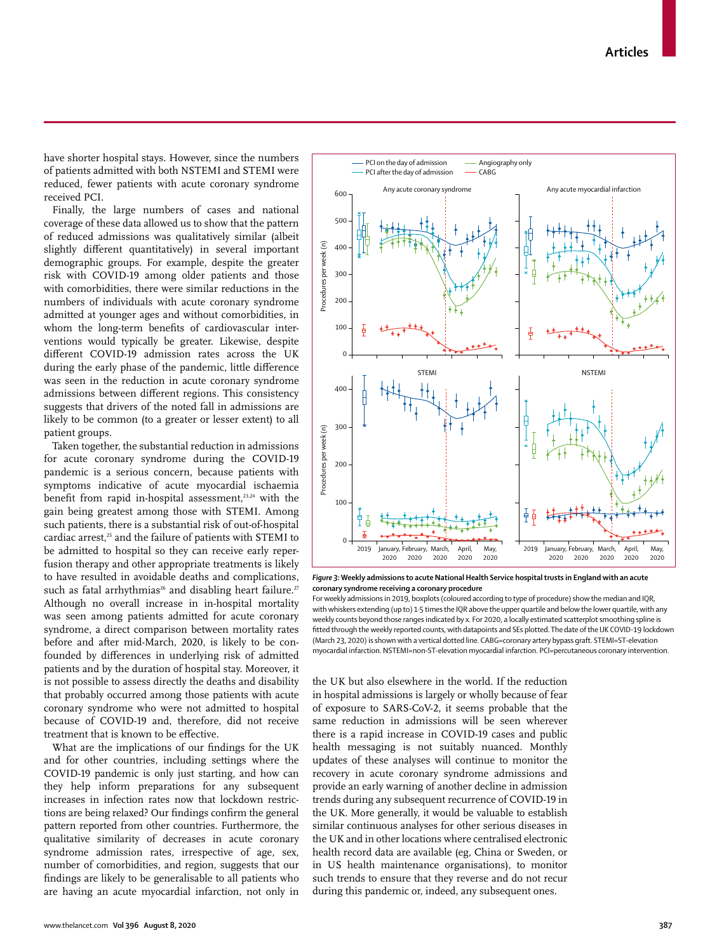have shorter hospital stays. However, since the numbers of patients admitted with both NSTEMI and STEMI were reduced, fewer patients with acute coronary syndrome received PCI.

Finally, the large numbers of cases and national coverage of these data allowed us to show that the pattern of reduced admissions was qualitatively similar (albeit slightly different quantitatively) in several important demographic groups. For example, despite the greater risk with COVID-19 among older patients and those with comorbidities, there were similar reductions in the numbers of individuals with acute coronary syndrome admitted at younger ages and without comorbidities, in whom the long-term benefits of cardiovascular interventions would typically be greater. Likewise, despite different COVID-19 admission rates across the UK during the early phase of the pandemic, little difference was seen in the reduction in acute coronary syndrome admissions between different regions. This consistency suggests that drivers of the noted fall in admissions are likely to be common (to a greater or lesser extent) to all patient groups.

Taken together, the substantial reduction in admissions for acute coronary syndrome during the COVID-19 pandemic is a serious concern, because patients with symptoms indicative of acute myocardial ischaemia benefit from rapid in-hospital assessment,<sup>23,24</sup> with the gain being greatest among those with STEMI. Among such patients, there is a substantial risk of out-of-hospital cardiac arrest,<sup>25</sup> and the failure of patients with STEMI to be admitted to hospital so they can receive early reperfusion therapy and other appropriate treatments is likely to have resulted in avoidable deaths and complications, such as fatal arrhythmias<sup>26</sup> and disabling heart failure.<sup>27</sup> Although no overall increase in in-hospital mortality was seen among patients admitted for acute coronary syndrome, a direct comparison between mortality rates before and after mid-March, 2020, is likely to be confounded by differences in underlying risk of admitted patients and by the duration of hospital stay. Moreover, it is not possible to assess directly the deaths and disability that probably occurred among those patients with acute coronary syndrome who were not admitted to hospital because of COVID-19 and, therefore, did not receive treatment that is known to be effective.

What are the implications of our findings for the UK and for other countries, including settings where the COVID-19 pandemic is only just starting, and how can they help inform preparations for any subsequent increases in infection rates now that lockdown restrictions are being relaxed? Our findings confirm the general pattern reported from other countries. Furthermore, the qualitative similarity of decreases in acute coronary syndrome admission rates, irrespective of age, sex, number of comorbidities, and region, suggests that our findings are likely to be generalisable to all patients who are having an acute myocardial infarction, not only in



*Figure 3:* **Weekly admissions to acute National Health Service hospital trusts in England with an acute coronary syndrome receiving a coronary procedure**

For weekly admissions in 2019, boxplots (coloured according to type of procedure) show the median and IQR, with whiskers extending (up to) 1·5 times the IQR above the upper quartile and below the lower quartile, with any weekly counts beyond those ranges indicated by x. For 2020, a locally estimated scatterplot smoothing spline is fitted through the weekly reported counts, with datapoints and SEs plotted. The date of the UK COVID-19 lockdown (March 23, 2020) is shown with a vertical dotted line. CABG=coronary artery bypass graft. STEMI=ST-elevation myocardial infarction. NSTEMI=non-ST-elevation myocardial infarction. PCI=percutaneous coronary intervention.

the UK but also elsewhere in the world. If the reduction in hospital admissions is largely or wholly because of fear of exposure to SARS-CoV-2, it seems probable that the same reduction in admissions will be seen wherever there is a rapid increase in COVID-19 cases and public health messaging is not suitably nuanced. Monthly updates of these analyses will continue to monitor the recovery in acute coronary syndrome admissions and provide an early warning of another decline in admission trends during any subsequent recurrence of COVID-19 in the UK. More generally, it would be valuable to establish similar continuous analyses for other serious diseases in the UK and in other locations where centralised electronic health record data are available (eg, China or Sweden, or in US health maintenance organisations), to monitor such trends to ensure that they reverse and do not recur during this pandemic or, indeed, any subsequent ones.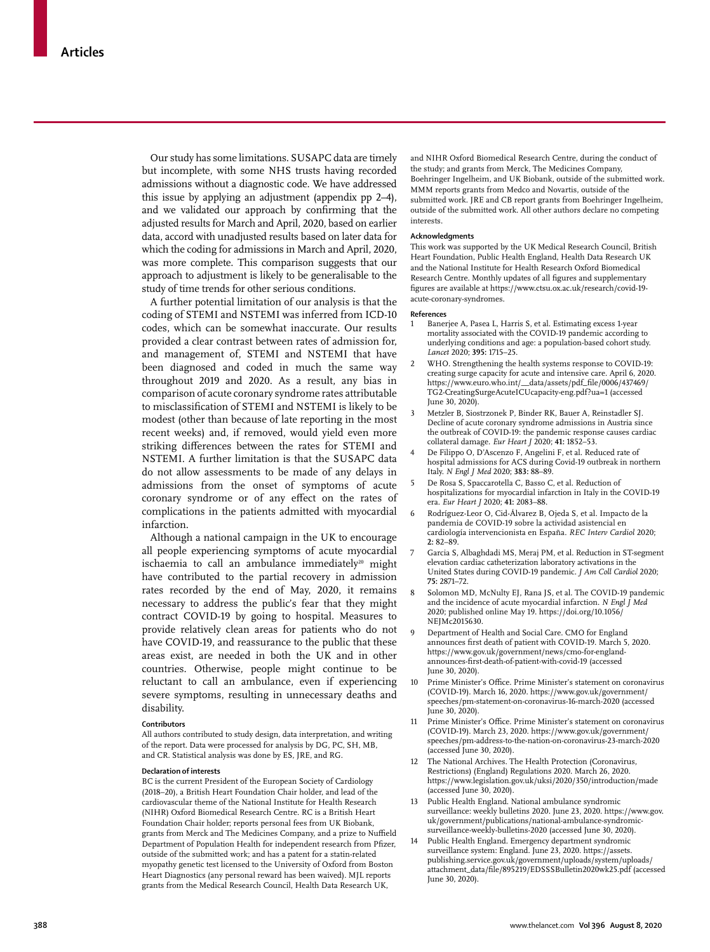Our study has some limitations. SUSAPC data are timely but incomplete, with some NHS trusts having recorded admissions without a diagnostic code. We have addressed this issue by applying an adjustment (appendix pp 2–4), and we validated our approach by confirming that the adjusted results for March and April, 2020, based on earlier data, accord with unadjusted results based on later data for which the coding for admissions in March and April, 2020, was more complete. This comparison suggests that our approach to adjustment is likely to be generalisable to the study of time trends for other serious conditions.

A further potential limitation of our analysis is that the coding of STEMI and NSTEMI was inferred from ICD-10 codes, which can be somewhat inaccurate. Our results provided a clear contrast between rates of admission for, and management of, STEMI and NSTEMI that have been diagnosed and coded in much the same way throughout 2019 and 2020. As a result, any bias in comparison of acute coronary syndrome rates attributable to misclassification of STEMI and NSTEMI is likely to be modest (other than because of late reporting in the most recent weeks) and, if removed, would yield even more striking differences between the rates for STEMI and NSTEMI. A further limitation is that the SUSAPC data do not allow assessments to be made of any delays in admissions from the onset of symptoms of acute coronary syndrome or of any effect on the rates of complications in the patients admitted with myocardial infarction.

Although a national campaign in the UK to encourage all people experiencing symptoms of acute myocardial ischaemia to call an ambulance immediately<sup>20</sup> might have contributed to the partial recovery in admission rates recorded by the end of May, 2020, it remains necessary to address the public's fear that they might contract COVID-19 by going to hospital. Measures to provide relatively clean areas for patients who do not have COVID-19, and reassurance to the public that these areas exist, are needed in both the UK and in other countries. Otherwise, people might continue to be reluctant to call an ambulance, even if experiencing severe symptoms, resulting in unnecessary deaths and disability.

#### **Contributors**

All authors contributed to study design, data interpretation, and writing of the report. Data were processed for analysis by DG, PC, SH, MB, and CR. Statistical analysis was done by ES, JRE, and RG.

#### **Declaration of interests**

BC is the current President of the European Society of Cardiology (2018–20), a British Heart Foundation Chair holder, and lead of the cardiovascular theme of the National Institute for Health Research (NIHR) Oxford Biomedical Research Centre. RC is a British Heart Foundation Chair holder; reports personal fees from UK Biobank, grants from Merck and The Medicines Company, and a prize to Nuffield Department of Population Health for independent research from Pfizer, outside of the submitted work; and has a patent for a statin-related myopathy genetic test licensed to the University of Oxford from Boston Heart Diagnostics (any personal reward has been waived). MJL reports grants from the Medical Research Council, Health Data Research UK,

and NIHR Oxford Biomedical Research Centre, during the conduct of the study; and grants from Merck, The Medicines Company, Boehringer Ingelheim, and UK Biobank, outside of the submitted work. MMM reports grants from Medco and Novartis, outside of the submitted work. JRE and CB report grants from Boehringer Ingelheim, outside of the submitted work. All other authors declare no competing interests.

#### **Acknowledgments**

This work was supported by the UK Medical Research Council, British Heart Foundation, Public Health England, Health Data Research UK and the National Institute for Health Research Oxford Biomedical Research Centre. Monthly updates of all figures and supplementary figures are available at https://www.ctsu.ox.ac.uk/research/covid-19 acute-coronary-syndromes.

#### **References**

- 1 Banerjee A, Pasea L, Harris S, et al. Estimating excess 1-year mortality associated with the COVID-19 pandemic according to underlying conditions and age: a population-based cohort study. *Lancet* 2020; **395:** 1715–25.
- 2 WHO. Strengthening the health systems response to COVID-19: creating surge capacity for acute and intensive care. April 6, 2020. https://www.euro.who.int/\_\_data/assets/pdf\_file/0006/437469/ TG2-CreatingSurgeAcuteICUcapacity-eng.pdf?ua=1 (accessed June 30, 2020).
- 3 Metzler B, Siostrzonek P, Binder RK, Bauer A, Reinstadler SJ. Decline of acute coronary syndrome admissions in Austria since the outbreak of COVID-19: the pandemic response causes cardiac collateral damage. *Eur Heart J* 2020; **41:** 1852–53.
- 4 De Filippo O, D'Ascenzo F, Angelini F, et al. Reduced rate of hospital admissions for ACS during Covid-19 outbreak in northern Italy. *N Engl J Med* 2020; **383:** 88–89.
- 5 De Rosa S, Spaccarotella C, Basso C, et al. Reduction of hospitalizations for myocardial infarction in Italy in the COVID-19 era. *Eur Heart J* 2020; **41:** 2083–88.
- 6 Rodríguez-Leor O, Cid-Álvarez B, Ojeda S, et al. Impacto de la pandemia de COVID-19 sobre la actividad asistencial en cardiología intervencionista en España. *REC Interv Cardiol* 2020; **2:** 82–89.
- 7 Garcia S, Albaghdadi MS, Meraj PM, et al. Reduction in ST-segment elevation cardiac catheterization laboratory activations in the United States during COVID-19 pandemic. *J Am Coll Cardiol* 2020; **75:** 2871–72.
- 8 Solomon MD, McNulty EJ, Rana JS, et al. The COVID-19 pandemic and the incidence of acute myocardial infarction. *N Engl J Med* 2020; published online May 19. https://doi.org/10.1056/ NEJMc2015630.
- Department of Health and Social Care. CMO for England announces first death of patient with COVID-19. March 5, 2020. https://www.gov.uk/government/news/cmo-for-englandannounces-first-death-of-patient-with-covid-19 (accessed June 30, 2020).
- 10 Prime Minister's Office. Prime Minister's statement on coronavirus (COVID-19). March 16, 2020. https://www.gov.uk/government/ speeches/pm-statement-on-coronavirus-16-march-2020 (accessed June 30, 2020).
- 11 Prime Minister's Office. Prime Minister's statement on coronavirus (COVID-19). March 23, 2020. https://www.gov.uk/government/ speeches/pm-address-to-the-nation-on-coronavirus-23-march-2020 (accessed June 30, 2020).
- The National Archives. The Health Protection (Coronavirus, Restrictions) (England) Regulations 2020. March 26, 2020. https://www.legislation.gov.uk/uksi/2020/350/introduction/made (accessed June 30, 2020).
- 13 Public Health England. National ambulance syndromic surveillance: weekly bulletins 2020. June 23, 2020. https://www.gov. uk/government/publications/national-ambulance-syndromicsurveillance-weekly-bulletins-2020 (accessed June 30, 2020).
- 14 Public Health England. Emergency department syndromic surveillance system: England. June 23, 2020. https://assets. publishing.service.gov.uk/government/uploads/system/uploads/ attachment\_data/file/895219/EDSSSBulletin2020wk25.pdf (accessed June 30, 2020).